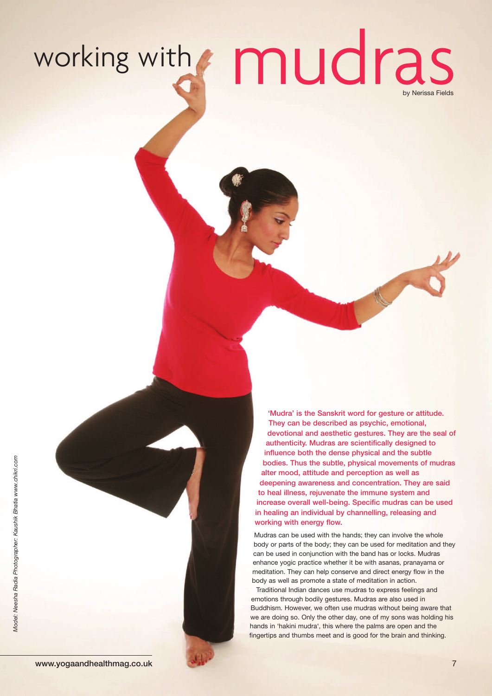working with mudras by Neriss a Fields

*Model: Neesha Radia Photographer: Kaushik Bhatia w w w.chikri.com*



body as well as promote a state of meditation in action. Traditional Indian dances use mudras to express feelings and emotions through bodily gestures. Mudras are also used in Buddhism. However, we often use mudras without being aware that we are doing so. Only the other day, one of my sons was holding his hands in 'hakini mudra', this where the palms are open and the fingertips and thumbs meet and is good for the brain and thinking.

**'Mudra' is the Sanskrit word for gesture or attitude. They can be described as psychic, emotional,**

**devotional and aesthetic gestures. They are the seal of authenticity. Mudras are scientifically designed to**